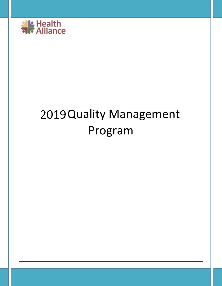

l,

# 2019Quality Management Program

l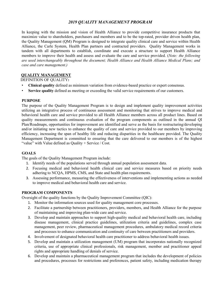# *2019 QUALITY MANAGEMENT PROGRAM*

 In keeping with the mission and vision of Health Alliance to provide competitive insurance products that Alliance, the Carle System, Health Plan partners and contracted providers. Quality Management works in members to improve their health and assess and evaluate the care and service provided. (*Note: the following are used interchangeably throughout the document; Health Alliance and Health Alliance Medical Plans; and case and care management.)* maximize value to shareholders, purchasers and members and to be the top-rated, provider driven health plan, the Quality Management (QM) Program is designed to integrate quality clinical care and service within Health tandem with all departments to establish, coordinate and execute a structure to support Health Alliance

# **QUALITY MANAGEMENT**

DEFINITION OF QUALITY**:** 

- • **Clinical quality** defined as minimum variation from evidence-based practice or expert consensus.
- • **Service quality** defined as meeting or exceeding the valid service requirements of our customers.

# **PURPOSE**

 behavioral health care and service provided to all Health Alliance members across all product lines. Based on Plan/Roadmaps, opportunities for improvement are identified and serve as the basis for restructuring/developing Management Department is committed to ensuring that the care delivered to our members is of the highest The purpose of the Quality Management Program is to design and implement quality improvement activities utilizing an integrative process of continuous assessment and monitoring that strives to improve medical and quality measurements and continuous evaluation of the program components as outlined in the annual QI and/or initiating new tactics to enhance the quality of care and service provided to our members by improving efficiency, increasing the span of healthy life and reducing disparities in the healthcare provided. The Quality "value" with Value defined as Quality + Service / Cost.

# **GOALS**

The goals of the Quality Management Program include:

- 1. Identify needs of the populations served through annual population assessment data.
- 2. Focusing medical and behavioral health clinical care and service measures based on priority needs adhering to NCQA, HPMS, CMS, and State and health plan requirements.
- 3. Assessing performance, measuring the effectiveness of interventions and implementing actions as needed to improve medical and behavioral health care and service.

# **PROGRAM COMPONENTS**

Oversight of the quality functions by the Quality Improvement Committee (QIC):

- 1. Monitor the information sources used for quality management core processes.
- 2. Facilitate a partnership between practitioners, providers, members, and Health Alliance for the purpose of maintaining and improving plan-wide care and service.
- 3. Develop and maintain approaches to support high-quality medical and behavioral health care, including disease management, clinical practice guidelines, utilization criteria and guidelines, complex case management, peer review, pharmaceutical management procedures, ambulatory medical record criteria and processes to enhance communication and continuity of care between practitioners and providers.
- 4. Involvement of designated behavioral health care practitioner to address behavioral health issues.
- rights and appropriate handling of denials of service. 5. Develop and maintain a utilization management (UM) program that incorporates nationally recognized criteria, use of appropriate clinical professionals, risk management, member and practitioner appeal
- 6. Develop and maintain a pharmaceutical management program that includes the development of policies and procedures, processes for restrictions and preferences, patient safety, including medication therapy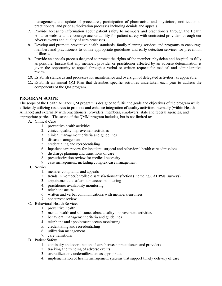management, and update of procedures, participation of pharmacists and physicians, notification to practitioners, and prior authorization processes including denials and appeals.

- 7. Provide access to information about patient safety to members and practitioners through the Health Alliance website and encourage accountability for patient safety with contracted providers through our adverse events and quality of care processes.
- members and practitioners to utilize appropriate guidelines and early detection services for prevention 8. Develop and promote preventive health standards, family planning services and programs to encourage of illness.
- 9. Provide an appeals process designed to protect the rights of the member, physician and hospital as fully as possible. Ensure that any member, provider or practitioner affected by an adverse determination is given the opportunity to appeal through a verbal or written request for medical and administrative review.
- 10. Establish standards and processes for maintenance and oversight of delegated activities, as applicable.
- 11. Establish an annual QM Plan that describes specific activities undertaken each year to address the components of the QM program.

# **PROGRAM SCOPE**

 The scope of the Health Alliance QM program is designed to fulfill the goals and objectives of the program while efficiently utilizing resources to promote and enhance integration of quality activities internally (within Health Alliance) and externally with practitioners, providers, members, employers, state and federal agencies, and appropriate parties. The scope of the QMM program includes, but is not limited to:

- A. Clinical Care
	- 1. preventive health activities
	- 2. clinical quality improvement activities
	- 3. clinical management criteria and guidelines
	- 4. disease management
	- 5. credentialing and recredentialing
	- 6. inpatient care review for inpatient, surgical and behavioral health care admissions
	- 7. discharge planning and transitions of care
	- 8. preauthorization review for medical necessity
	- 9. case management, including complex case management
- B. Service
	- 1. member complaints and appeals
	- 2. trends in member/enrollee dissatisfaction/satisfaction (including CAHPS® surveys)
	- 3. appointment and afterhours access monitoring
	- 4. practitioner availability monitoring
	- 5. telephone access
	- 6. written and verbal communications with members/enrollees
	- 7. concurrent review
- C. Behavioral Health Services
	- 1. preventive health
	- 2. mental health and substance abuse quality improvement activities
	- 3. behavioral management criteria and guidelines
	- 4. telephone and appointment access monitoring
	- 5. credentialing and recredentialing
	- 6. utilization management
	- 7. care transitions
- D. Patient Safety
	- 1. continuity and coordination of care between practitioners and providers
	- 2. tracking and trending of adverse events
	- 3. overutilization / underutilization, as appropriate.
	- 4. implementation of health management systems that support timely delivery of care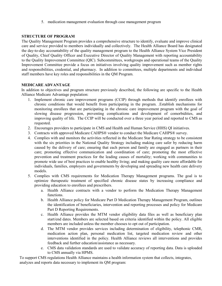5. medication management evaluation through case management program

# **STRUCTURE OF PROGRAM**

 care and service provided to members individually and collectively. The Health Alliance Board has designated the day-to-day accountability of the quality management program to the Health Alliance System Vice President staff members have key roles and responsibilities in the QM Program. The Quality Management Program provides a comprehensive structure to identify, evaluate and improve clinical of Quality, Chief Quality Officer and Executive Director of Quality Management with reporting accountability to the Quality Improvement Committee (QIC). Subcommittees, workgroups and operational teams of the Quality Improvement Committee provide a focus on initiatives involving quality improvement such as member rights and responsibilities, credential, and pharmacy. In addition to committees, multiple departments and individual

# **MEDICARE ADVANTAGE**

 In addition to objectives and program structure previously described, the following are specific to the Health Alliance Medicare Advantage population:

- chronic conditions that would benefit from participating in the program. .Establish mechanisms for improving quality of life. The CCIP will be conducted over a three year period and reported to CMS as 1. Implement chronic care improvement programs (CCIP) through methods that identify enrollees with monitoring enrollees that are participating in the chronic care improvement program with the goal of slowing disease progression, preventing complications and development of comorbidities, and requested.
- 2. Encourages providers to participate in CMS and Health and Human Service (HHS) QI initiatives.
- 3. Contracts with approved Medicare CAHPS® vendor to conduct the Medicare CAHPS® survey.
- with the six priorities in the National Quality Strategy including making care safer by reducing harm caused by the delivery of care; ensuring that each person and family are engaged as partners in their care; promoting effective communication and coordination of care; promoting the most effective prevention and treatment practices for the leading causes of mortality; working with communities to 4. Complies with and monitors the activities reflected in the Medicare Star Rating strategy to be consistent promote wide use of best practices to enable healthy living; and making quality care more affordable for individuals, families, employers and governments by developing and spreading new health care delivery models.
- 5. Complies with CMS requirements for Medication Therapy Management programs. The goal is to optimize therapeutic treatment of specified chronic disease states by increasing compliance and providing education to enrollees and prescribers.
	- a. Health Alliance contracts with a vendor to perform the Medication Therapy Management functions.
	- b. Health Alliance policy for Medicare Part D Medication Therapy Management Program, outlines the identification of beneficiaries, intervention and reporting processes and policy for Medicare Part D Reporting Requirements.
	- c. Health Alliance provides the MTM vendor eligibility data files as well as beneficiary plan members are included unless the member chooses to opt out of participation. start/end dates. Members are selected based on criteria identified within the policy. All eligible
	- medication action plan, personal medication list, targeted medication review and other d. The MTM vendor provides services including determination of eligibility, telephonic CMR, interventions identified in the policy. Health Alliance reviews all interventions and provides feedback and further education/assistance as necessary.
	- e. CMS data validation standards are used to validate accuracy of reporting data. Data is uploaded to CMS annually via HPMS.

To support CMS regulations Health Alliance maintains a health information system that collects, integrates, analyzes and reports data necessary to implement its QM program: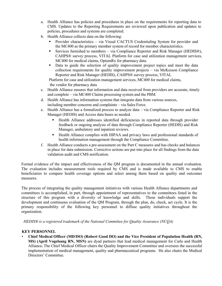- a. Health Alliance has policies and procedures in place on the requirements for reporting data to CMS. Updates to the Reporting Requirements are reviewed upon publication and updates to policies, procedures and systems are completed.
- b. Health Alliance collects data on the following:
	- Provider characteristics via Visual CACTUS Credentialing System for provider and the MC400 as the primary member system of record for member characteristics.
	- Services furnished to members via Compliance Reporter and Risk Manager (HEDIS®), CAHPS® survey process, VITAL Platform for case and utilization management services, MC400 for medical claims, OptumRx for pharmacy data.
	- collection requirements for quality improvement projects via McKesson Compliance Reporter and Risk Manager (HEDIS), CAHPS® survey process, VITAL Data to guide the selection of quality improvement project topics and meet the data

Platform for case and utilization management services, MC400 for medical claims, the vendor for pharmacy data

- c. Health Alliance ensures that information and data received from providers are accurate, timely and complete – via MC400 Claims processing system and the PBM.
- including member concerns and complaints via Sales Force. d. Health Alliance has information systems that integrate data from various sources,
- e. Health Alliance has a formalized process to analyze data via Compliance Reporter and Risk Manager (HEDIS) and Access data bases as needed.
	- Health Alliance addresses identified deficiencies in reported data through provider feedback or ongoing analysis of data through Compliance Reporter (HEDIS) and Risk Manager, ambulatory and inpatient reviews.
	- Health Alliance complies with HIPAA and privacy laws and professional standards of health information management through the Compliance Committee.
- in place for data submission. Corrective actions are put into place for all findings from the data f. Health Alliance conducts a pre-assessment on the Part C measures and has checks and balances validation audit and CMS notification.

 Formal evidence of the impact and effectiveness of the QM program is documented in the annual evaluation. The evaluation includes measurement tools required by CMS and is made available to CMS to enable beneficiaries to compare health coverage options and select among them based on quality and outcomes measures.

 The process of integrating the quality management initiatives with various Health Alliance departments and structure of this program with a diversity of knowledge and skills. These individuals support the primary responsibility of the following key personnel to diffuse quality initiatives throughout the committees is accomplished, in part, through appointment of representatives to the committees listed in the development and continuous evaluation of the QM Program, through the plan, do, check, act cycle. It is the organization.

*HEDIS® is a registered trademark of the National Committee for Quality Assurance (NCQA)* 

# **KEY PERSONNEL**

 • **Chief Medical Officer (MD/DO) (Robert Good DO) and the Vice President of Population Health (RN,**  implementation of medical management, quality and pharmaceutical programs. He also chairs the Medical Directors' Committee. **MS) (April Vogelsang RN, MSN)** are dyad partners that lead medical management for Carle and Health Alliance**.** The Chief Medical Officer chairs the Quality Improvement Committee and oversees the successful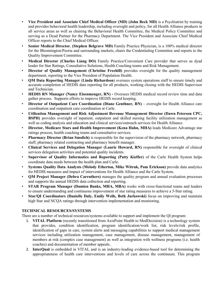- • **Vice President and Associate Chief Medical Officer (MD) (John Beck MD)** is a Psychiatrist by training serving as a Dyad Partner for the Pharmacy Department. The Vice President and Associate Chief Medical and provides behavioral health leadership, including oversight and policy, for all Health Alliance products in all service areas as well as chairing the Behavioral Health Committee, the Medical Policy Committee and Officer reports to the Chief Medical Officer.
- • **Senior Medical Director**, **(Stephen Belgrave MD)** Family Practice Physician, is a 100% medical director for the Bloomington/Peoria and surrounding markets, chairs the Credentialing Committee and reports to the Quality Improvement Committee.
- Medical Director (Charles Liang DO) Family Practice/Convenient Care provider that serves as dyad leader for Star Ratings, Consultative Solutions, Health Coaching teams and Risk Management.
- • **Director of Quality Management (Christine Freehill)** provides oversight for the quality management department, reporting to the Vice President of Population Health.
- • **QM Data Reporting Manager** (**Linda Richardson**) oversees system operations staff to ensure timely and accurate completion of HEDIS data reporting for all products, working closing with the HEDIS Supervisor and Technician.
- • **HEDIS RN Manager (Nancy Eisenmenger, RN) -** Oversees HEDIS medical record review time and data gather process. Supports efforts to improve HEDIS record keeping.
- • **Director of Outpatient Care Coordination (Diane Genthner, RN)**  oversight for Health Alliance care coordination and outpatient care coordination at Carle.
- **BSPH)** provides oversight of inpatient, outpatient and skilled nursing facility utilization management as well as coding analysis and education and clinical services/outreach services for Health Alliance. • **Utilization Management and Risk Adjustment Revenue Management Director (Dawn Peterson CPC,**
- • **Director, Medicare Stars and Health Improvement (Kena Hahn, MHA)** leads Medicare Advantage star ratings process, health coaching teams and consultative services.
- staff; pharmacy related contracting and pharmacy benefit manager. • **Pharmacy Director (Brian Smolich)** is responsible for the supervision of the pharmacy network, pharmacy
- • **Clinical Services and Delegation Manager (Laurie Howard, RN)** responsible for oversight of clinical services delegation activities and potential quality incidents.
- • **Supervisor of Quality Informatics and Reporting (Patty Kieffer)** of the Carle Health System helps coordinate data needs between the health plan and Carle.
- for HEDIS measures and impact of interventions for Health Alliance and the Carle System. • **Systems Quality Data Analysts (Melody Etherton, Mike Witruk, Pam Erickson)** provide data analytics
- • **QM Project Manager (Debra Carruthers)** manages the quality program and annual evaluation processes and supports the annual HEDIS data collection and reporting.
- • **STAR Program Manager (Damien Banks, MHA, MBA)** works with cross-functional teams and leaders to ensure understanding and continuous improvement of star rating measures to achieve a 5-Star rating.
- • **Star/QI Coordinators (Danielle Daly, Emily Wells, Beth Jurkowski)** focus on improving and maintain high Star and NCQA ratings through intervention implementation and monitoring.

# **TECHNICAL RESOURCES/SYSTEMS**

There are a number of technical resources/systems available to support and implement the QI program:

- members at risk (complex case management) as well as integration with wellness programs (i.e. health 1. **VITAL Platform** (recently transitioned from AxisPoint Health to MedDecision) is a technology system that provides, condition identification, program identification/work list, risk levels/risk profile, identification of gaps in care, system alerts and messaging capabilities to support medical management services including utilization management, case management, disease management, management of coaches) and documentation of member appeals..
- 2. InterQual is embedded in VITAL and is an industry-leading evidence-based tool for determining the appropriateness of health care interventions and levels of care across the continuum. This program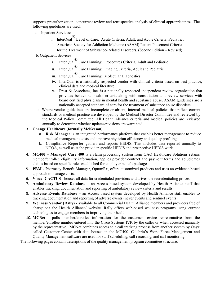supports preauthorization, concurrent review and retrospective analysis of clinical appropriateness. The following guidelines are used:<br>a. Inpatient Services:

- - i. InterQual® Level of Care: Acute Criteria, Adult; and Acute Criteria, Pediatric;
	- ii. American Society for Addiction Medicine (ASAM) Patient Placement Criteria for the Treatment of Substance-Related Disorders, (Second Edition – Revised)
- b. Outpatient Services
	- i. InterQual<sup> $\degree$ </sup> Care Planning: Procedures Criteria, Adult and Pediatric
	- ii. InterQual<sup>®</sup> Care Planning: Imaging Criteria, Adult and Pediatric
	- iii. InterQual<sup>®</sup> Care Planning: Molecular Diagnostics
	- iv. InterQual is a nationally respected vendor with clinical criteria based on best practice, clinical data and medical literature.
	- v. Prest & Associates, Inc. is a nationally respected independent review organization that board certified physicians in mental health and substance abuse. ASAM guidelines are a provides behavioral health criteria along with consultation and review services with nationally accepted standard of care for the treatment of substance abuse disorders.
- annually to determine whether updates/revisions are warranted. c. Where vendor guidelines are incomplete or absent, internal medical policies that reflect current standards or medical practice are developed by the Medical Director Committee and reviewed by the Medical Policy Committee. All Health Alliance criteria and medical policies are reviewed

# 3. **Change Healthcare (formally McKesson)**

- a. **Risk Manager** is an integrated performance platform that enables better management to reduce medical management costs and improve physician efficiency and quality profiling.
- NCQA, as well as at the provider specific HEDIS and prospective HEDIS work. b. **Compliance Reporter** gathers and reports HEDIS. This includes data reported annually to
- 4. **MC400 Managed Care 400** is a claim processing system from OAO Healthcare Solutions retains member/enrollee eligibility information, applies provider contract and payment terms and adjudicates claims based on specific rules established for employer benefit packages.
- 5. **PBM** Pharmacy Benefit Manager, OptumRx, offers customized products and uses an evidence-based approach to manage costs.
- 6. **Visual CACTUS**  houses all data for credentialed providers and drives the recredentialing process
- enables tracking, documentation and reporting of ambulatory review criteria and results. 7. **Ambulatory Review Database** – an Access based system developed by Health Alliance staff that
- 8. **Adverse Events Database**  an Access based system developed by Health Alliance staff enables to tracking, documentation and reporting of adverse events (never events and sentinel events).
- 9. **Wellness Vendor (Rally)**  available to all Commercial Health Alliance members and providers free of charge via the Health Alliance/ website. Rally offers web-based wellness programs using current technologies to engage members in improving their health.
- 10. **MCNet**  pulls member/enrollee information for the customer service representative from the by the representative. MCNet combines access to a call tracking process from another system by Onyx called Customer Center with data housed in the MC400. Calabrio's Work Force Management and member/enrollee number entered into the Cisco Systems IVR by the caller or when accessed manually Quality Management software are used for staff scheduling, call recording, and call monitoring.

The following pages contain descriptions of the quality management program committee structure.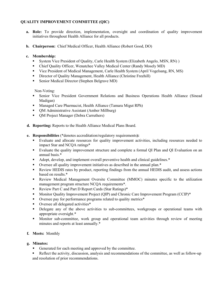# **QUALITY IMPROVEMENT COMMITTEE (QIC)**

- initiatives throughout Health Alliance for all products. **a.** Role: To provide direction, implementation, oversight and coordination of quality improvement
- **b. Chairperson:** Chief Medical Officer, Health Alliance (Robert Good, DO)

# **c. Membership:**

- System Vice President of Quality, Carle Health System (Elizabeth Angelo, MSN, RN) )
- Chief Quality Officer, Wenatchee Valley Medical Center (Randy Mosely MD)
- Vice President of Medical Management, Carle Health System (April Vogelsang, RN, MS)
- Director of Quality Management, Health Alliance (Christine Freehill)
- Senior Medical Director (Stephen Belgrave MD)

Non-Voting:

- Senior Vice President Government Relations and Business Operations Health Alliance (Sinead Madigan)
- Managed Care Pharmacist, Health Alliance (Tamara Migut RPh)
- OM Administrative Assistant (Amber Millburg)
- OM Project Manager (Debra Carruthers)
- **d. Reporting:** Reports to the Health Alliance Medical Plans Board.
- **e. Responsibilities** (\*denotes accreditation/regulatory requirements**):** 
	- Evaluate and allocate resources for quality improvement activities, including resources needed to impact Star and NCQA ratings\*
	- Evaluate the quality improvement structure and complete a formal QI Plan and QI Evaluation on an annual basis.\*
	- Adopt, develop, and implement overall preventive health and clinical guidelines.\*
	- Oversee all quality improvement initiatives as described in the annual plan.\*
	- Review HEDIS rates by product, reporting findings from the annual HEDIS audit, and assess actions based on results.\*
	- Review Medical Management Oversite Committee (MMOC) minutes specific to the utilization management program structure NCQA requirements\*.
	- Review Part C and Part D Report Cards (Star Ratings)\*
	- **Monitor Quality Improvement Project (QIP) and Chronic Care Improvement Program (CCIP)\***
	- Oversee pay for performance programs related to quality metrics\*
	- Oversee all delegated activities\*
	- Delegate any of the above activities to sub-committees, workgroups or operational teams with appropriate oversight.\*
	- Monitor sub-committee, work group and operational team activities through review of meeting minutes and reports at least annually.\*

# **f. Meets:** Monthly

- Generated for each meeting and approved by the committee.
- Reflect the activity, discussion, analysis and recommendations of the committee, as well as follow-up and resolution of prior recommendations.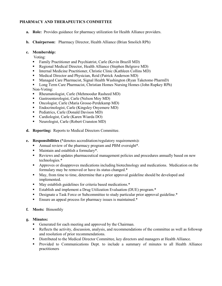# **PHARMACY AND THERAPEUTICS COMMITTEE**

- **a. Role:** Provides guidance for pharmacy utilization for Health Alliance providers.
- **b. Chairperson:** Pharmacy Director, Health Alliance (Brian Smolich RPh)

# **c. Membership:**

Voting:

- Family Practitioner and Psychiatrist, Carle (Kevin Brazill MD)
- Regional Medical Director, Health Alliance (Stephen Belgrave MD)
- **Internal Medicine Practitioner, Christie Clinic (Kathleen Collins MD)**
- **Medical Director and Physician, Reid (Patrick Anderson MD)**
- Managed Care Pharmacist, Signal Health Washington (Ryan Taketomo PharmD)
- **Long Term Care Pharmacist, Christian Homes Nursing Homes (John Rupkey RPh)** Non-Voting:
- Rheumatologist, Carle (Mehmoodur Rasheed MD)
- Gastroenterologist, Carle (Nelson Moy MD)
- Oncologist, Carle (Maria Grosse-Perdekamp MD)
- **Endocrinologist, Carle (Kingsley Onyemere MD)**
- Pediatrics, Carle (Donald Davison MD)
- Cardiologist, Carle (Karen Wiarda DO)
- Neurologist, Carle (Robert Cranston MD)
- **d. Reporting:** Reports to Medical Directors Committee.
- **e. Responsibilities (**\*denotes accreditation/regulatory requirements)**:** 
	- Annual review of the pharmacy program and PBM oversight\*.
	- Maintain and establish a formulary\*.
	- Reviews and updates pharmaceutical management policies and procedures annually based on new technologies.\*
	- **Approves or disapproves medications including biotechnology and medications. Medication on the** formulary may be removed or have its status changed.\*
	- May, from time to time, determine that a prior approval guideline should be developed and implemented.
	- May establish guidelines for criteria based medications.\*
	- Establish and implement a Drug Utilization Evaluation (DUE) program.\*
	- **•** Designate a Task Force or Subcommittee to study particular prior approval guideline.\*
	- **Ensure an appeal process for pharmacy issues is maintained.\***
- **f. Meets:** Bimonthly

- Generated for each meeting and approved by the Chairman.
- **Reflects the activity, discussion, analysis, and recommendations of the committee as well as followup** and resolution of prior recommendations.
- **Distributed to the Medical Director Committee, key directors and managers at Health Alliance.**
- **Provided to Communications Dept. to include a summary of minutes to all Health Alliance** practitioners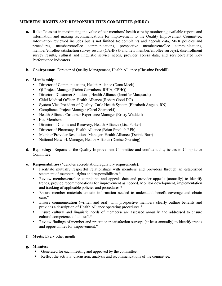# **MEMBERS' RIGHTS AND RESPONSIBILITIES COMMITTEE (MRRC)**

- Information reviewed includes but is not limited to: complaints and appeals data, MRR policies and survey results, cultural and linguistic service needs, provider access data, and service-related Key **a. Role:** To assist in maximizing the value of our members' health care by monitoring available reports and information and making recommendations for improvement to the Quality Improvement Committee. procedures, member/enrollee communications, prospective member/enrollee communications, member/enrollee satisfaction survey results (CAHPS® and new member/enrollee surveys), disenrollment Performance Indicators.
- **b.** Chairperson: Director of Quality Management, Health Alliance (Christine Freehill)

# **c. Membership:**

- Director of Communications, Health Alliance (Dana Meek)
- QI Project Manager (Debra Carruthers, RHIA, CPHQ)
- Director ofCustomer Solutions , Health Alliance (Jennifer Marquardt)
- Chief Medical Officer, Health Alliance (Robert Good DO)
- System Vice President of Quality, Carle Health System (Elizabeth Angelo, RN)
- Compliance Project Manager (Carol Znaniecki)
- Health Alliance Customer Experience Manager (Kristy Waddell)

Ad-Hoc Members:

- Director of Claims and Recovery, Health Alliance (Lisa Parker)
- **Director of Pharmacy, Health Alliance (Brian Smolich RPh)**
- Member/Provider Resolutions Manager, Health Alliance (Debbie Burr)
- National Network Manager, Health Alliance (Denise Grussing)
- **d. Reporting:** Reports to the Quality Improvement Committee and confidentiality issues to Compliance Committee.
- **e. Responsibilities** (\*denotes accreditation/regulatory requirements**):** 
	- Facilitate mutually respectful relationships with members and providers through an established statement of members' rights and responsibilities.\*
	- trends, provide recommendations for improvement as needed. Monitor development, implementation Review member/enrollee complaints and appeals data and provider appeals (annually) to identify and tracking of applicable policies and procedures.\*
	- Ensure member materials contain information needed to understand benefit coverage and obtain care.\*
	- provides a description of Health Alliance operating procedures.\* Ensure communication (written and oral) with prospective members clearly outline benefits and
	- Ensure cultural and linguistic needs of members/ are assessed annually and addressed to ensure cultural competence of all staff.\*
	- Review findings of member and practitioner satisfaction surveys (at least annually) to identify trends and opportunities for improvement.\*
- **f. Meets:** Every other month
- **g. Minutes:** 
	- Generated for each meeting and approved by the committee.
	- Reflect the activity, discussion, analysis and recommendations of the committee.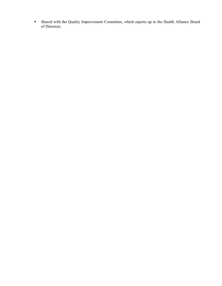Shared with the Quality Improvement Committee, which reports up to the Health Alliance Board of Directors.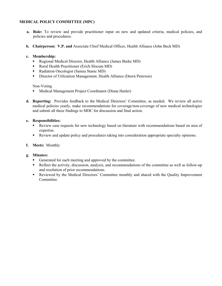# **MEDICAL POLICY COMMITTEE (MPC)**

- **a.** Role: To review and provide practitioner input on new and updated criteria, medical policies, and policies and procedures.
- **b. Chairperson: V.P. and** Associate Chief Medical Officer, Health Alliance (John Beck MD)

#### **c. Membership:**

- Regional Medical Director, Health Alliance (James Burke MD)
- Rural Health Practitioner (Erich Slocum MD)
- **Radiation Oncologist (Sanisa Stanic MD)**
- Director of Utilization Management, Health Alliance (Dawn Peterson)

#### Non-Voting

- **Medical Management Project Coordinator (Diana Hasler)**
- **d. Reporting:** Provides feedback to the Medical Directors' Committee, as needed. We review all active medical policies yearly, make recommendations for coverage/non-coverage of new medical technologies and submit all these findings to MDC for discussion and final action.

#### **e. Responsibilities:**

- Review case requests for new technology based on literature with recommendations based on area of expertise.
- Review and update policy and procedures taking into consideration appropriate specialty opinions.
- **f. Meets:** Monthly

- Generated for each meeting and approved by the committee.
- Reflect the activity, discussion, analysis, and recommendations of the committee as well as follow-up and resolution of prior recommendations.
- Reviewed by the Medical Directors' Committee monthly and shared with the Quality Improvement Committee.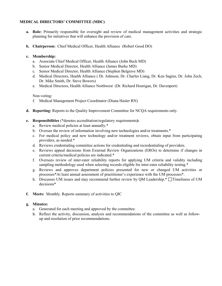# **MEDICAL DIRECTORS' COMMITTEE (MDC)**

- **a.** Role: Primarily responsible for oversight and review of medical management activities and strategic planning for initiatives that will enhance the provision of care.
- **b. Chairperson:** Chief Medical Officer, Health Alliance (Robert Good DO)

#### **c. Membership:**

- a. Associate Chief Medical Officer, Health Alliance (John Beck MD)
- b. Senior Medical Director, Health Alliance (James Burke MD)
- c. Senior Medical Director, Health Alliance (Stephen Belgrave MD)
- d. Medical Directors, Health Alliance ( Dr. Johnson, Dr. Charles Liang, Dr. Ken Sagins, Dr. John Zech, Dr. Mike Smith, Dr. Steve Bowers)
- e. Medical Directors, Health Alliance Northwest (Dr. Richard Hourigan, Dr. Davenport)

#### Non-voting:

- f. Medical Management Project Coordinator (Diana Hasler RN)
- **d. Reporting:** Reports to the Quality Improvement Committee for NCQA requirements only.
- **e. Responsibilities** (\*denotes accreditation/regulatory requirements**):** 
	- a. Review medical policies at least annually.\*
	- b. Oversee the review of information involving new technologies and/or treatments.\*
	- c. For medical policy and new technology and/or treatment reviews, obtain input from participating providers, as needed.\*
	- d. Reviews credentialing committee actions for credentialing and recredentialing of providers.
	- e. Reviews appeal decisions from External Review Organizations (EROs) to determine if changes in current criteria/medical policies are indicated.\*
	- f. Oversees review of inter-rater reliability reports for applying UM criteria and validity including sampling methodology used when selecting records eligible for inter-rater reliability testing.\*
	- processes\*At least annual assessment of practitioner's experience with the UM processes\*. g. Reviews and approves department policies presented for new or changed UM activities or
	- h. Discusses UM issues and may recommend further review by QM Leadership. $*$   $\Box$ Timeliness of UM decisions\*
- **f. Meets:** Monthly. Reports summary of activities to QIC

- a. Generated for each meeting and approved by the committee.
- b. Reflect the activity, discussion, analysis and recommendations of the committee as well as followup and resolution of prior recommendations.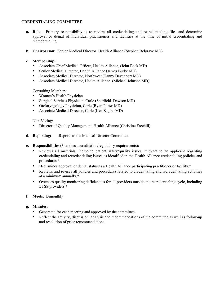# **CREDENTIALING COMMITTEE**

- a. Role: Primary responsibility is to review all credentialing and recredentialing files and determine approval or denial of individual practitioners and facilities at the time of initial credentialing and recredentialing.
- **b.** Chairperson: Senior Medical Director, Health Alliance (Stephen Belgrave MD)

# **c. Membership:**

- Associate Chief Medical Officer, Health Alliance, (John Beck MD)
- Senior Medical Director, Health Alliance (James Burke MD)
- Associate Medical Director, Northwest (Tanny Davenport MD)
- Associate Medical Director, Health Alliance (Michael Johnson MD)

Consulting Members:

- **Women's Health Physician**
- Surgical Services Physician, Carle (Sherfield Dawson MD)
- Otolaryngology Physician, Carle (Ryan Porter MD)
- Associate Medical Director, Carle (Ken Sagins MD)

Non-Voting:

- Director of Quality Management, Health Alliance (Christine Freehill)
- **d. Reporting:** Reports to the Medical Director Committee
- **e. Responsibilities** (\*denotes accreditation/regulatory requirements**):** 
	- Reviews all materials, including patient safety/quality issues, relevant to an applicant regarding credentialing and recredentialing issues as identified in the Health Alliance credentialing policies and procedures.\*
	- **•** Determines approval or denial status as a Health Alliance participating practitioner or facility.\*
	- Reviews and revises all policies and procedures related to credentialing and recredentialing activities at a minimum annually.\*
	- Oversees quality monitoring deficiencies for all providers outside the recredentialing cycle, including LTSS providers.\*
- **f. Meets:** Bimonthly

- Generated for each meeting and approved by the committee.
- Reflect the activity, discussion, analysis and recommendations of the committee as well as follow-up and resolution of prior recommendations.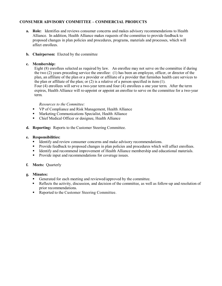# **CONSUMER ADVISORY COMMITTEE – COMMERCIAL PRODUCTS**

- **a. Role:** Identifies and reviews consumer concerns and makes advisory recommendations to Health Alliance. In addition, Health Alliance makes requests of the committee to provide feedback to proposed changes in plan policies and procedures, programs, materials and processes, which will affect enrollees.
- **b. Chairperson:** Elected by the committee

#### **c. Membership:**

 Eight (8) enrollees selected as required by law. An enrollee may not serve on the committee if during the two (2) years preceding service the enrollee: (1) has been an employee, officer, or director of the plan, an affiliate of the plan or a provider or affiliate of a provider that furnishes health care services to the plan or affiliate of the plan; or (2) is a relative of a person specified in item (1). Four (4) enrollees will serve a two-year term and four (4) enrollees a one year term. After the term expires, Health Alliance will re-appoint or appoint an enrollee to serve on the committee for a two-year term.

#### *Resources to the Committee:*

- VP of Compliance and Risk Management, Health Alliance
- **Marketing Communications Specialist, Health Alliance**
- Chief Medical Officer or designee, Health Alliance
- **d. Reporting:** Reports to the Customer Steering Committee.

#### **e. Responsibilities:**

- Identify and review consumer concerns and make advisory recommendations.
- **Provide feedback to proposed changes in plan policies and procedures which will affect enrollees.**
- **IDENTIFY and recommend improvement of Health Alliance membership and educational materials.**
- **Provide input and recommendations for coverage issues.**

#### **f. Meets:** Quarterly

- Generated for each meeting and reviewed/approved by the committee.
- Reflects the activity, discussion, and decision of the committee, as well as follow-up and resolution of prior recommendations.
- Reported to the Customer Steering Committee.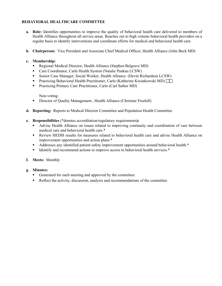# **BEHAVIORAL HEALTHCARE COMMITTEE**

- Health Alliance throughout all service areas. Reaches out to high volume behavioral health providers on a regular basis to identify interventions and coordinate efforts for medical and behavioral health care. **a. Role:** Identifies opportunities to improve the quality of behavioral health care delivered to members of
- **b.** Chairperson: Vice President and Associate Chief Medical Officer, Health Alliance (John Beck MD)

#### **c. Membership:**

- Regional Medical Director, Health Alliance (Stephen Belgrave MD)
- Care Coordinator, Carle Health System (Natalie Pankau LCSW)
- Senior Case Manager, Social Worker, Health Alliance (Devin Richardson LCSW)
- **Practicing Behavioral Health Practitioner, Carle (Katherine Kwiatkowski MD)**
- Practicing Primary Care Practitioner, Carle (Carl Sather MD)

Non-voting:

- Director of Quality Management , Health Alliance (Christine Freehill)
- **d. Reporting:** Reports to Medical Director Committee and Population Health Committee
- **e. Responsibilities** (\*denotes accreditation/regulatory requirements**):** 
	- Advise Health Alliance on issues related to improving continuity and coordination of care between medical care and behavioral health care.\*
	- Review HEDIS results for measures related to behavioral health care and advise Health Alliance on improvement opportunities and action plans.\*
	- Addresses any identified patient safety improvement opportunities around behavioral health.\*
	- Identify and recommend actions to improve access to behavioral health services.\*
- **f. Meets:** Monthly
- **g. Minutes:** 
	- Generated for each meeting and approved by the committee
	- Reflect the activity, discussion, analysis and recommendations of the committee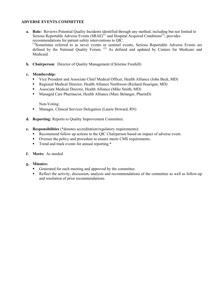# **ADVERSE EVENTS COMMITTEE**

- **a. Role:** Reviews Potential Quality Incidents identified through any method, including but not limited to Serious Reportable Adverse Events  $(SRAE)^{(1)}$  and Hospital Acquired Conditions<sup>(2)</sup>; provides recommendations for patient safety interventions to QIC. (1)Sometimes referred to as never events or sentinel events, Serious Reportable Adverse Events are defined by the National Quality Forum.<sup>(2)</sup> As defined and updated by Centers for Medicare and Medicaid.
- **b. Chairperson**: Director of Quality Management (Christine Freehill)

#### **c. Membership:**

- Vice President and Associate Chief Medical Officer, Health Alliance (John Beck, MD)
- Regional Medical Director, Health Alliance Northwest (Richard Hourigan, MD)
- Associate Medical Director, Health Alliance (Mike Smith, MD)
- Managed Care Pharmacist, Health Alliance (Marc Belanger, PharmD)

Non-Voting:

- Manager, Clinical Services Delegation (Laurie Howard, RN)
- **d. Reporting:** Reports to Quality Improvement Committee.
- **e. Responsibilities** (\*denotes accreditation/regulatory requirements):
	- Recommend follow up actions to the QIC Chairperson based on impact of adverse event.
	- Oversee the policy and procedure to ensure meets CMS requirements.
	- Trend and track events for annual reporting.\*
- **f. Meets:** As needed
- **g. Minutes:** 
	- Generated for each meeting and approved by the committee.
	- Reflect the activity, discussion, analysis and recommendations of the committee as well as follow-up and resolution of prior recommendations.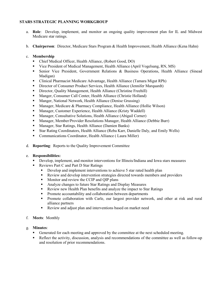# **STARS STRATEGIC PLANNING WORKGROUP**

- a. Role: Develop, implement, and monitor an ongoing quality improvement plan for IL and Midwest Medicare star ratings.
- b. **Chairperson**: Director, Medicare Stars Program & Health Improvement, Health Alliance (Kena Hahn)<br>c. **Membership**

#### c. Membership

- Chief Medical Officer, Health Alliance, (Robert Good, DO)
- Vice President of Medical Management, Health Alliance (April Vogelsang, RN, MS)
- Senior Vice President, Government Relations & Business Operations, Health Alliance (Sinead Madigan)
- Clinical Pharmacist Medicare Advantage, Health Alliance (Tamara Migut RPh)
- Director of Consumer Product Services, Health Alliance (Jennifer Marquardt)
- Director, Quality Management, Health Alliance (Christine Freehill)
- Manger, Consumer Call Center, Health Alliance (Christie Holland)
- Manger, National Network, Health Alliance (Denise Grussing)
- Manager, Medicare & Pharmacy Compliance, Health Alliance (Hollie Wilson)
- Manager, Customer Experience, Health Alliance (Kristy Waddell)
- Manager, Consultative Solutions, Health Alliance (Abigail Corner)
- Manager, Member/Provider Resolutions Manager, Health Alliance (Debbie Burr)
- Manager, Star Ratings, Health Alliance (Damien Banks)
- Star Rating Coordinators, Health Alliance (Reba Karr, Danielle Daly, and Emily Wells)
- Communications Coordinator, Health Alliance ( Laura Miller)
- d. **Reporting**: Reports to the Quality Improvement Committee

# e. **Responsibilities:**

- Develop, implement, and monitor interventions for Illinois/Indiana and Iowa stars measures
- Reviews Part C and Part D Star Ratings
	- Develop and implement interventions to achieve 5 star rated health plan
	- Review and develop intervention strategies directed towards members and providers
	- **Monitor and review the CCIP and QIP plans**
	- Analyze changes to future Star Ratings and Display Measures
	- Review new Health Plan benefits and analyze the impact to Star Ratings
	- **Promote accountability and collaboration between departments**
	- **Promote collaboration with Carle, our largest provider network, and other at risk and rural** alliance partners
	- Review and adjust plan and interventions based on market need
- f. **Meets**: Monthly
- g. **Minutes**:
	- Generated for each meeting and approved by the committee at the next scheduled meeting.
	- Reflect the activity, discussion, analysis and recommendations of the committee as well as follow-up and resolution of prior recommendations.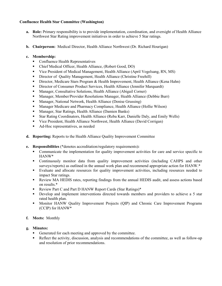# **Confluence Health Star Committee (Washington)**

- **a. Role:** Primary responsibility is to provide implementation, coordination, and oversight of Health Alliance Northwest Star Rating improvement initiatives in order to achieve 5 Star ratings.
- **b. Chairperson:** Medical Director, Health Alliance Northwest (Dr. Richard Hourigan)

# **c. Membership:**

- Confluence Health Representatives
- Chief Medical Officer, Health Alliance, (Robert Good, DO)
- Vice President of Medical Management, Health Alliance (April Vogelsang, RN, MS)
- **Director of Quality Management, Health Alliance (Christine Freehill)**
- **Director, Medicare Stars Program & Health Improvement, Health Alliance (Kena Hahn)**
- **Director of Consumer Product Services, Health Alliance (Jennifer Marquardt)**
- Manager, Consultative Solutions, Health Alliance (Abigail Corner)
- Manager, Member/Provider Resolutions Manager, Health Alliance (Debbie Burr)
- **Manager, National Network, Health Alliance (Denise Grussing)**
- Manager Medicare and Pharmacy Compliance, Health Alliance (Hollie Wilson)
- Manager, Star Ratings, Health Alliance (Damien Banks)
- Star Rating Coordinators, Health Alliance (Reba Karr, Danielle Daly, and Emily Wells)
- Vice President, Health Alliance Northwest, Health Alliance (David Corrigan)
- Ad-Hoc representatives, as needed
- **d. Reporting:** Reports to the Health Alliance Quality Improvement Committee
- **e. Responsibilities** (\*denotes accreditation/regulatory requirements)**:** 
	- Communicate the implementation for quality improvement activities for care and service specific to HANW\*
	- Continuously monitor data from quality improvement activities (including CAHPS and other surveys/reports) as outlined in the annual work plan and recommend appropriate action for HANW.\*
	- Evaluate and allocate resources for quality improvement activities, including resources needed to impact Star ratings.
	- Review MA HEDIS rates, reporting findings from the annual HEDIS audit, and assess actions based on results.\*
	- Review Part C and Part D HANW Report Cards (Star Ratings)\*
	- Develop and implement interventions directed towards members and providers to achieve a 5 star rated health plan.
	- **Monitor HANW Quality Improvement Projects (QIP) and Chronic Care Improvement Programs** (CCIP) for HANW\*
- **f. Meets:** Monthly

- Generated for each meeting and approved by the committee.
- Reflect the activity, discussion, analysis and recommendations of the committee, as well as follow-up and resolution of prior recommendations.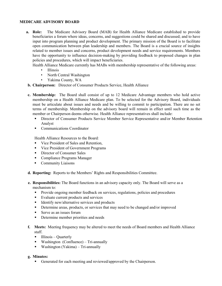# **MEDICARE ADVISORY BOARD**

a. Role: beneficiaries a forum where ideas, concerns, and suggestions could be shared and discussed; and to have input into program planning and product development. The primary mission of the Board is to facilitate open communication between plan leadership and members. The Board is a crucial source of insights related to member issues and concerns, product development needs and service requirements. Members The Medicare Advisory Board (MAB) for Health Alliance Medicare established to provide have the opportunity to influence decision-making by providing feedback to proposed changes in plan policies and procedures, which will impact beneficiaries.

Health Alliance Medicare currently has MABs with membership representative of the following areas:

- **Illinois**
- North Central Washington
- • Yakima County, WA
- **b. Chairperson:** Director of Consumer Products Service, Health Alliance
- **c. Membership:** The Board shall consist of up to 12 Medicare Advantage members who hold active must be articulate about issues and needs and be willing to commit to participation. There are no set terms of membership. Membership on the advisory board will remain in effect until such time as the member or Chairperson deems otherwise. Health Alliance representatives shall include: membership on a Health Alliance Medicare plan. To be selected for the Advisory Board, individuals
	- **Director of Consumer Products Service Member Service Representative and/or Member Retention** Analyst
	- Communications Coordinator

Communications Coordinator Health Alliance Resources to the Board*:* 

- Vice President of Sales and Retention,
- Vice President of Government Programs
- **Director of Consumer Sales**
- **Compliance Programs Manager**
- Community Liaisons
- **d. Reporting:** Reports to the Members' Rights and Responsibilities Committee.
- **e. Responsibilities:** The Board functions in an advisory capacity only. The Board will serve as a mechanism to:
	- **Provide ongoing member feedback on services, regulations, policies and procedures**
	- Evaluate current products and services
	- Identify new/alternative services and products
	- **Determine areas, products, or services that may need to be changed and/or improved**
	- Serve as an issues forum
	- Determine member priorities and needs
- f. Meets: Meeting frequency may be altered to meet the needs of Board members and Health Alliance staff.
	- $\blacksquare$  Illinois Quarterly
	- Washington (Confluence) Tri-annually
	- Washington (Yakima) Tri-annually

**g. Minutes:** 

Generated for each meeting and reviewed/approved by the Chairperson.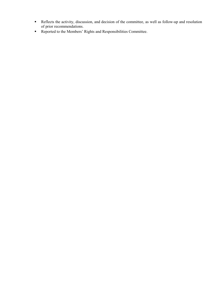- Reflects the activity, discussion, and decision of the committee, as well as follow-up and resolution of prior recommendations.
- Reported to the Members' Rights and Responsibilities Committee.